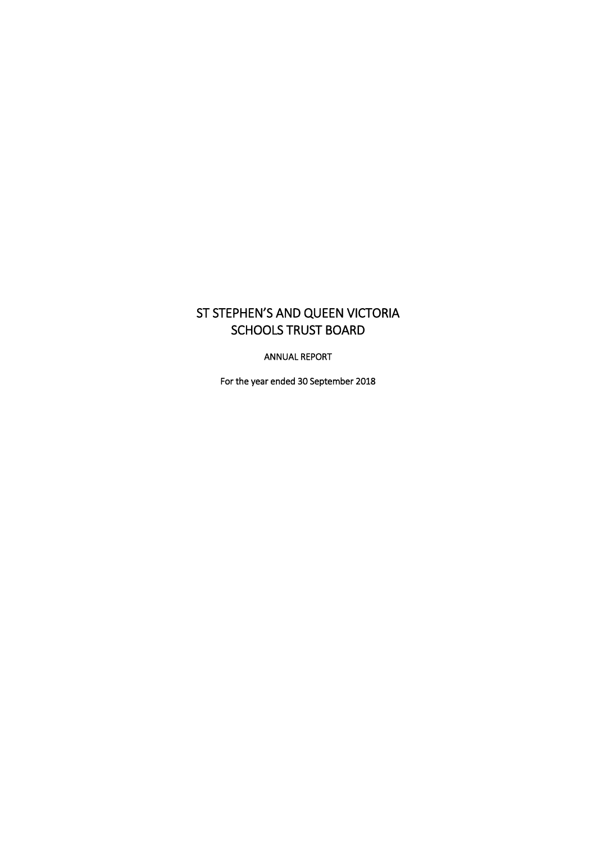# ST STEPHEN'S AND QUEEN VICTORIA SCHOOLS TRUST BOARD

ANNUAL REPORT

For the year ended 30 September 2018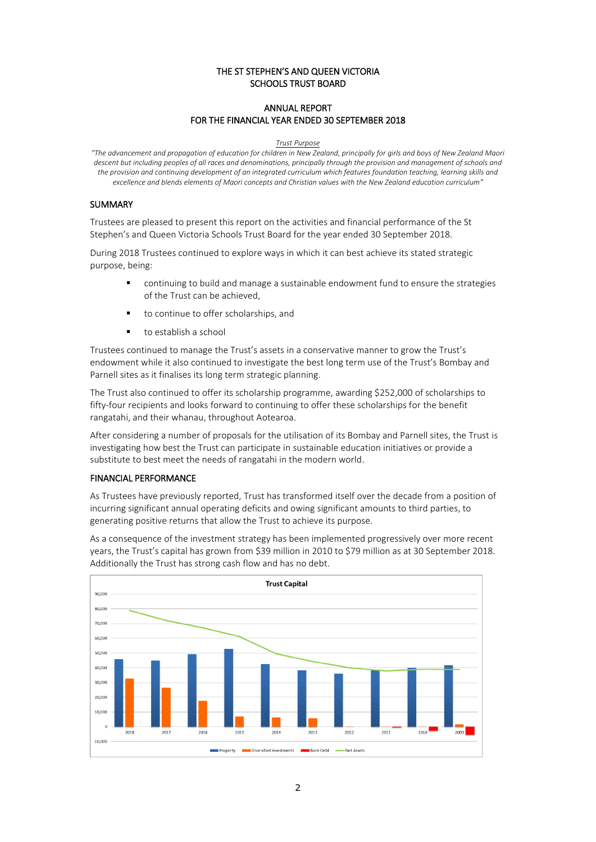### THE ST STEPHEN'S AND QUEEN VICTORIA SCHOOLS TRUST BOARD

# ANNUAL REPORT FOR THE FINANCIAL YEAR ENDED 30 SEPTEMBER 2018

#### *Trust Purpose*

*"The advancement and propagation of education for children in New Zealand, principally for girls and boys of New Zealand Maori descent but including peoples of all races and denominations, principally through the provision and management of schools and the provision and continuing development of an integrated curriculum which features foundation teaching, learning skills and excellence and blends elements of Maori concepts and Christian values with the New Zealand education curriculum"*

#### SUMMARY

Trustees are pleased to present this report on the activities and financial performance of the St Stephen's and Queen Victoria Schools Trust Board for the year ended 30 September 2018.

During 2018 Trustees continued to explore ways in which it can best achieve its stated strategic purpose, being:

- continuing to build and manage a sustainable endowment fund to ensure the strategies of the Trust can be achieved,
- to continue to offer scholarships, and
- to establish a school

Trustees continued to manage the Trust's assets in a conservative manner to grow the Trust's endowment while it also continued to investigate the best long term use of the Trust's Bombay and Parnell sites as it finalises its long term strategic planning.

The Trust also continued to offer its scholarship programme, awarding \$252,000 of scholarships to fifty-four recipients and looks forward to continuing to offer these scholarships for the benefit rangatahi, and their whanau, throughout Aotearoa.

After considering a number of proposals for the utilisation of its Bombay and Parnell sites, the Trust is investigating how best the Trust can participate in sustainable education initiatives or provide a substitute to best meet the needs of rangatahi in the modern world.

## FINANCIAL PERFORMANCE

As Trustees have previously reported, Trust has transformed itself over the decade from a position of incurring significant annual operating deficits and owing significant amounts to third parties, to generating positive returns that allow the Trust to achieve its purpose.

As a consequence of the investment strategy has been implemented progressively over more recent years, the Trust's capital has grown from \$39 million in 2010 to \$79 million as at 30 September 2018. Additionally the Trust has strong cash flow and has no debt.

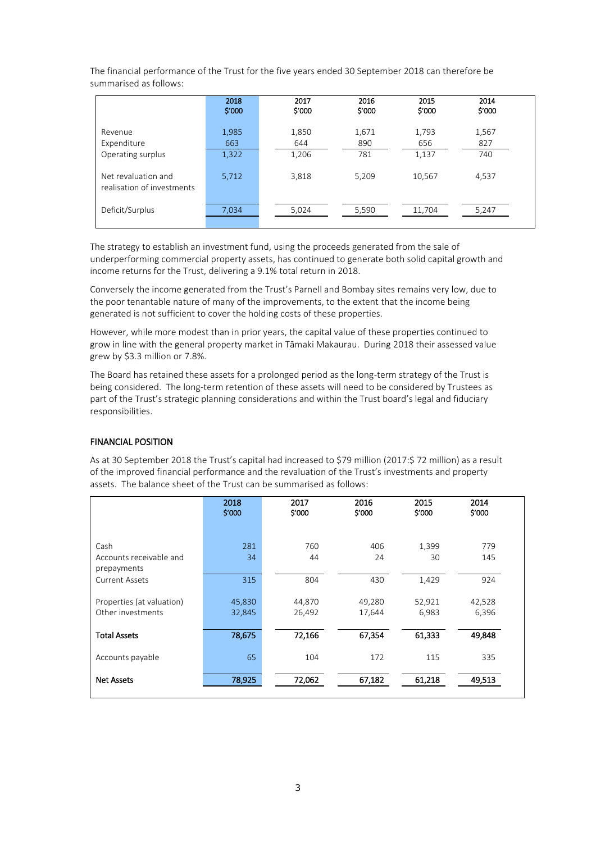The financial performance of the Trust for the five years ended 30 September 2018 can therefore be summarised as follows:

|                                                   | 2018<br>\$'000 | 2017<br>\$'000 | 2016<br>\$'000 | 2015<br>\$'000 | 2014<br>\$'000 |
|---------------------------------------------------|----------------|----------------|----------------|----------------|----------------|
| Revenue<br>Expenditure                            | 1,985<br>663   | 1,850<br>644   | 1,671<br>890   | 1,793<br>656   | 1,567<br>827   |
| Operating surplus                                 | 1,322          | 1,206          | 781            | 1,137          | 740            |
| Net revaluation and<br>realisation of investments | 5,712          | 3,818          | 5,209          | 10,567         | 4,537          |
| Deficit/Surplus                                   | 7,034          | 5,024          | 5,590          | 11.704         | 5,247          |

The strategy to establish an investment fund, using the proceeds generated from the sale of underperforming commercial property assets, has continued to generate both solid capital growth and income returns for the Trust, delivering a 9.1% total return in 2018.

Conversely the income generated from the Trust's Parnell and Bombay sites remains very low, due to the poor tenantable nature of many of the improvements, to the extent that the income being generated is not sufficient to cover the holding costs of these properties.

However, while more modest than in prior years, the capital value of these properties continued to grow in line with the general property market in Tāmaki Makaurau. During 2018 their assessed value grew by \$3.3 million or 7.8%.

The Board has retained these assets for a prolonged period as the long-term strategy of the Trust is being considered. The long-term retention of these assets will need to be considered by Trustees as part of the Trust's strategic planning considerations and within the Trust board's legal and fiduciary responsibilities.

#### FINANCIAL POSITION

As at 30 September 2018 the Trust's capital had increased to \$79 million (2017:\$ 72 million) as a result of the improved financial performance and the revaluation of the Trust's investments and property assets. The balance sheet of the Trust can be summarised as follows:

|                           | 2018<br>\$'000 | 2017<br>\$'000 | 2016<br>\$'000 | 2015<br>\$'000 | 2014<br>\$'000 |  |
|---------------------------|----------------|----------------|----------------|----------------|----------------|--|
|                           |                |                |                |                |                |  |
| Cash                      | 281            | 760            | 406            | 1,399          | 779            |  |
| Accounts receivable and   | 34             | 44             | 24             | 30             | 145            |  |
| prepayments               |                |                |                |                |                |  |
| <b>Current Assets</b>     | 315            | 804            | 430            | 1,429          | 924            |  |
| Properties (at valuation) | 45,830         | 44,870         | 49,280         | 52,921         | 42,528         |  |
| Other investments         | 32,845         | 26,492         | 17,644         | 6,983          | 6,396          |  |
|                           |                |                |                |                |                |  |
| <b>Total Assets</b>       | 78,675         | 72,166         | 67,354         | 61,333         | 49,848         |  |
|                           |                |                |                |                |                |  |
| Accounts payable          | 65             | 104            | 172            | 115            | 335            |  |
| <b>Net Assets</b>         | 78,925         | 72,062         | 67,182         | 61,218         | 49,513         |  |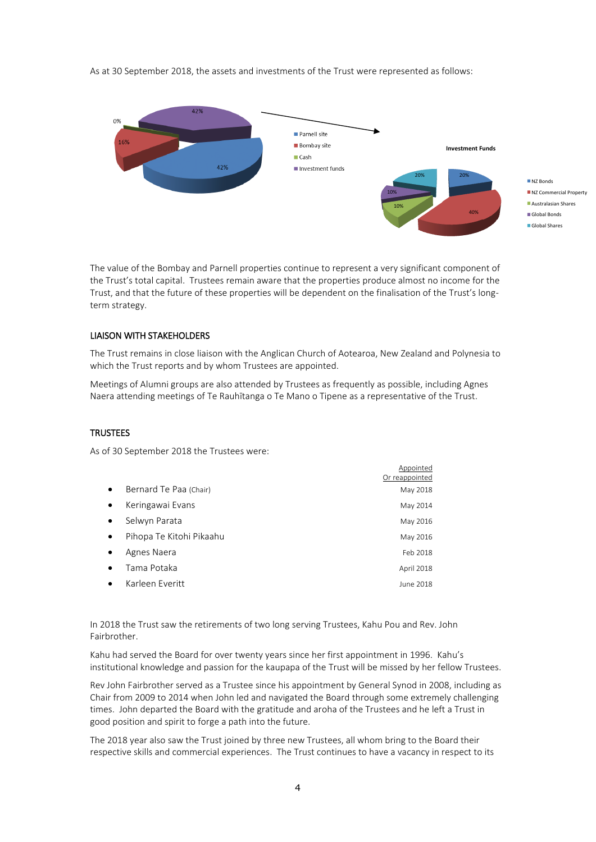As at 30 September 2018, the assets and investments of the Trust were represented as follows:



**Annointed** 

The value of the Bombay and Parnell properties continue to represent a very significant component of the Trust's total capital. Trustees remain aware that the properties produce almost no income for the Trust, and that the future of these properties will be dependent on the finalisation of the Trust's longterm strategy.

### LIAISON WITH STAKEHOLDERS

The Trust remains in close liaison with the Anglican Church of Aotearoa, New Zealand and Polynesia to which the Trust reports and by whom Trustees are appointed.

Meetings of Alumni groups are also attended by Trustees as frequently as possible, including Agnes Naera attending meetings of Te Rauhītanga o Te Mano o Tipene as a representative of the Trust.

#### **TRUSTEES**

As of 30 September 2018 the Trustees were:

|           |                          | Or reappointed |
|-----------|--------------------------|----------------|
| $\bullet$ | Bernard Te Paa (Chair)   | May 2018       |
| $\bullet$ | Keringawai Evans         | May 2014       |
| $\bullet$ | Selwyn Parata            | May 2016       |
| $\bullet$ | Pihopa Te Kitohi Pikaahu | May 2016       |
|           | Agnes Naera              | Feb 2018       |
|           | Tama Potaka              | April 2018     |
|           | Karleen Everitt          | June 2018      |

In 2018 the Trust saw the retirements of two long serving Trustees, Kahu Pou and Rev. John Fairbrother.

Kahu had served the Board for over twenty years since her first appointment in 1996. Kahu's institutional knowledge and passion for the kaupapa of the Trust will be missed by her fellow Trustees.

Rev John Fairbrother served as a Trustee since his appointment by General Synod in 2008, including as Chair from 2009 to 2014 when John led and navigated the Board through some extremely challenging times. John departed the Board with the gratitude and aroha of the Trustees and he left a Trust in good position and spirit to forge a path into the future.

The 2018 year also saw the Trust joined by three new Trustees, all whom bring to the Board their respective skills and commercial experiences. The Trust continues to have a vacancy in respect to its